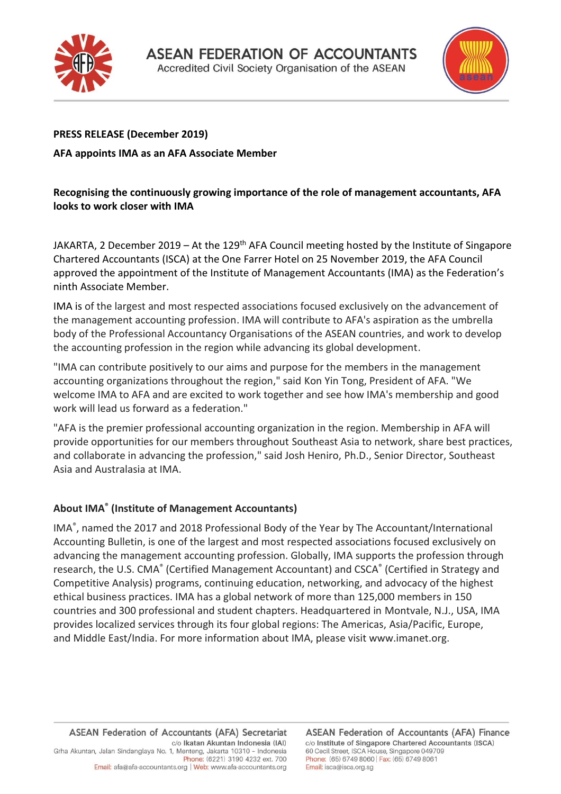



# **PRESS RELEASE (December 2019)**

### **AFA appoints IMA as an AFA Associate Member**

## **Recognising the continuously growing importance of the role of management accountants, AFA looks to work closer with IMA**

JAKARTA, 2 December 2019 - At the 129<sup>th</sup> AFA Council meeting hosted by the Institute of Singapore Chartered Accountants (ISCA) at the One Farrer Hotel on 25 November 2019, the AFA Council approved the appointment of the Institute of Management Accountants (IMA) as the Federation's ninth Associate Member.

IMA is of the largest and most respected associations focused exclusively on the advancement of the management accounting profession. IMA will contribute to AFA's aspiration as the umbrella body of the Professional Accountancy Organisations of the ASEAN countries, and work to develop the accounting profession in the region while advancing its global development.

"IMA can contribute positively to our aims and purpose for the members in the management accounting organizations throughout the region," said Kon Yin Tong, President of AFA. "We welcome IMA to AFA and are excited to work together and see how IMA's membership and good work will lead us forward as a federation."

"AFA is the premier professional accounting organization in the region. Membership in AFA will provide opportunities for our members throughout Southeast Asia to network, share best practices, and collaborate in advancing the profession," said Josh Heniro, Ph.D., Senior Director, Southeast Asia and Australasia at IMA.

# **About IMA ® (Institute of Management Accountants)**

IMA ® , named the 2017 and 2018 Professional Body of the Year by The Accountant/International Accounting Bulletin, is one of the largest and most respected associations focused exclusively on advancing the management accounting profession. Globally, IMA supports the profession through research, the U.S. CMA® (Certified Management Accountant) and CSCA® (Certified in Strategy and Competitive Analysis) programs, continuing education, networking, and advocacy of the highest ethical business practices. IMA has a global network of more than 125,000 members in 150 countries and 300 professional and student chapters. Headquartered in Montvale, N.J., USA, IMA provides localized services through its four global regions: The Americas, Asia/Pacific, Europe, and Middle East/India. For more information about IMA, please visit www.imanet.org.